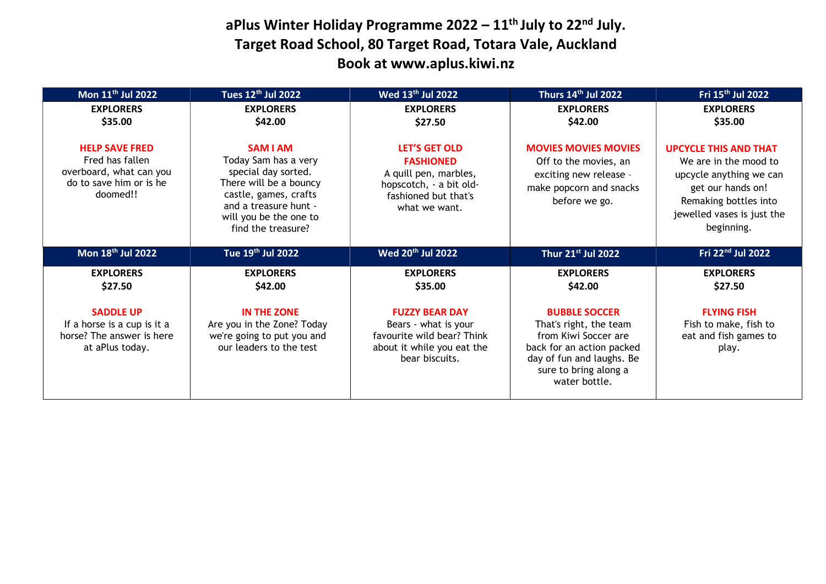## aPlus Winter Holiday Programme  $2022 - 11$ <sup>th</sup> July to  $22<sup>nd</sup>$  July. Target Road School, 80 Target Road, Totara Vale, Auckland Book at www.aplus.kiwi.nz

| Mon 11 <sup>th</sup> Jul 2022                                                                              | Tues 12 <sup>th</sup> Jul 2022                                                                                                                                                             | Wed 13 <sup>th</sup> Jul 2022                                                                                                         | Thurs 14th Jul 2022                                                                                                        | Fri 15 <sup>th</sup> Jul 2022                                                                                                                                              |
|------------------------------------------------------------------------------------------------------------|--------------------------------------------------------------------------------------------------------------------------------------------------------------------------------------------|---------------------------------------------------------------------------------------------------------------------------------------|----------------------------------------------------------------------------------------------------------------------------|----------------------------------------------------------------------------------------------------------------------------------------------------------------------------|
| <b>EXPLORERS</b><br>\$35.00                                                                                | <b>EXPLORERS</b><br>\$42.00                                                                                                                                                                | <b>EXPLORERS</b><br>\$27.50                                                                                                           | <b>EXPLORERS</b><br>\$42.00                                                                                                | <b>EXPLORERS</b><br>\$35.00                                                                                                                                                |
| <b>HELP SAVE FRED</b><br>Fred has fallen<br>overboard, what can you<br>do to save him or is he<br>doomed!! | <b>SAM I AM</b><br>Today Sam has a very<br>special day sorted.<br>There will be a bouncy<br>castle, games, crafts<br>and a treasure hunt -<br>will you be the one to<br>find the treasure? | <b>LET'S GET OLD</b><br><b>FASHIONED</b><br>A quill pen, marbles,<br>hopscotch, - a bit old-<br>fashioned but that's<br>what we want. | <b>MOVIES MOVIES MOVIES</b><br>Off to the movies, an<br>exciting new release -<br>make popcorn and snacks<br>before we go. | <b>UPCYCLE THIS AND THAT</b><br>We are in the mood to<br>upcycle anything we can<br>get our hands on!<br>Remaking bottles into<br>jewelled vases is just the<br>beginning. |
|                                                                                                            |                                                                                                                                                                                            |                                                                                                                                       |                                                                                                                            |                                                                                                                                                                            |
| Mon 18th Jul 2022                                                                                          | Tue 19th Jul 2022                                                                                                                                                                          | Wed 20 <sup>th</sup> Jul 2022                                                                                                         | Thur 21st Jul 2022                                                                                                         | Fri 22nd Jul 2022                                                                                                                                                          |
| <b>EXPLORERS</b><br>\$27.50                                                                                | <b>EXPLORERS</b><br>\$42.00                                                                                                                                                                | <b>EXPLORERS</b><br>\$35.00                                                                                                           | <b>EXPLORERS</b><br>\$42.00                                                                                                | <b>EXPLORERS</b><br>\$27.50                                                                                                                                                |